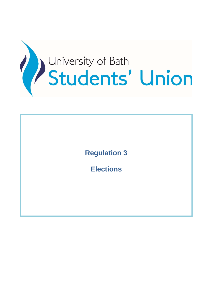

**Regulation 3** 

**Elections**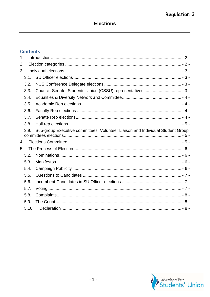# **Elections**

## **Contents**

| 1              |                                                                                        |                                                                |  |  |
|----------------|----------------------------------------------------------------------------------------|----------------------------------------------------------------|--|--|
| 2              |                                                                                        |                                                                |  |  |
| 3              |                                                                                        |                                                                |  |  |
|                | 3.1.                                                                                   |                                                                |  |  |
|                | 3.2.                                                                                   |                                                                |  |  |
|                | 3.3.                                                                                   | Council, Senate, Students' Union (CSSU) representatives  - 3 - |  |  |
|                | 3.4.                                                                                   |                                                                |  |  |
|                | 3.5.                                                                                   |                                                                |  |  |
|                | 3.6.                                                                                   |                                                                |  |  |
|                | 3.7.                                                                                   |                                                                |  |  |
|                | 3.8.                                                                                   |                                                                |  |  |
|                | Sub-group Executive committees, Volunteer Liaison and Individual Student Group<br>3.9. |                                                                |  |  |
| $\overline{4}$ |                                                                                        |                                                                |  |  |
| 5              |                                                                                        |                                                                |  |  |
|                | 5.2.                                                                                   |                                                                |  |  |
|                | 5.3.                                                                                   |                                                                |  |  |
|                | 5.4.                                                                                   |                                                                |  |  |
|                | 5.5.                                                                                   |                                                                |  |  |
|                | 5.6.                                                                                   |                                                                |  |  |
|                | 5.7.                                                                                   |                                                                |  |  |
|                | 5.8.                                                                                   |                                                                |  |  |
|                | 5.9.                                                                                   |                                                                |  |  |
|                | 5.10.                                                                                  |                                                                |  |  |

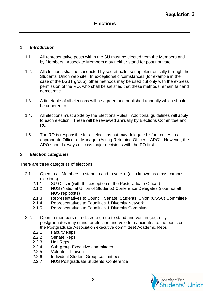#### 1 *Introduction*

- 1.1. All representative posts within the SU must be elected from the Members and by Members. Associate Members may neither stand for post nor vote.
- 1.2. All elections shall be conducted by secret ballot set up electronically through the Students' Union web site. In exceptional circumstances (for example in the case of the LGBT group), other methods may be used but only with the express permission of the RO, who shall be satisfied that these methods remain fair and democratic.
- 1.3. A timetable of all elections will be agreed and published annually which should be adhered to.
- 1.4. All elections must abide by the Elections Rules. Additional guidelines will apply to each election. These will be reviewed annually by Elections Committee and RO.
- 1.5. The RO is responsible for all elections but may delegate his/her duties to an appropriate Officer or Manager (Acting Returning Officer – ARO). However, the ARO should always discuss major decisions with the RO first.

#### 2 *Election categories*

There are three categories of elections

- 2.1. Open to all Members to stand in and to vote in (also known as cross-campus elections):
	- 2.1.1 SU Officer (with the exception of the Postgraduate Officer)
	- 2.1.2 NUS (National Union of Students) Conference Delegates (note not all NUS rep posts)
	- 2.1.3 Representatives to Council, Senate, Students' Union (CSSU) Committee
	- 2.1.4 Representatives to Equalities & Diversity Network
	- 2.1.5 Representatives to Equalities & Diversity Committee
- 2.2. Open to members of a discrete group to stand and vote in (e.g. only postgraduates may stand for election and vote for candidates to the posts on the Postgraduate Association executive committee):Academic Reps
	- 2.2.1 Faculty Reps
	- 2.2.2 Senate Reps
	- 2.2.3 Hall Reps
	- 2.2.4 Sub-group Executive committees
	- 2.2.5 Volunteer Liaison
	- 2.2.6 Individual Student Group committees
	- 2.2.7 NUS Postgraduate Students' Conference

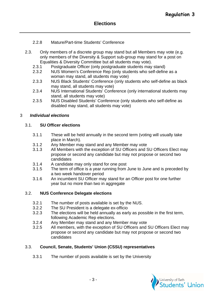#### 2.2.8 Mature/Part-time Students' Conference

- 2.3. Only members of a discrete group may stand but all Members may vote (e.g. only members of the Diversity & Support sub-group may stand for a post on Equalities & Diversity Committee but all students may vote).
	- 2.3.1 Postgraduate Officer (only postgraduate students may stand)
	- 2.3.2 NUS Women's Conference Rep (only students who self-define as a woman may stand, all students may vote)
	- 2.3.3 NUS Black Students' Conference (only students who self-define as black may stand, all students may vote)
	- 2.3.4 NUS International Students' Conference (only international students may stand, all students may vote)
	- 2.3.5 NUS Disabled Students' Conference (only students who self-define as disabled may stand, all students may vote)

#### 3 *Individual elections*

#### 3.1. **SU Officer elections**

- 3.1.1 These will be held annually in the second term (voting will usually take place in March).
- 3.1.2 Any Member may stand and any Member may vote
- 3.1.3 All Members with the exception of SU Officers and SU Officers Elect may propose or second any candidate but may not propose or second two candidates
- 3.1.4 A candidate may only stand for one post
- 3.1.5 The term of office is a year running from June to June and is preceded by a two week handover period
- 3.1.6 An incumbent SU Officer may stand for an Officer post for one further year but no more than two in aggregate

## 3.2. **NUS Conference Delegate elections**

- 3.2.1 The number of posts available is set by the NUS.
- 3.2.2 The SU President is a delegate ex-officio
- 3.2.3 The elections will be held annually as early as possible in the first term, following Academic Rep elections.
- 3.2.4 Any Member may stand and any Member may vote
- 3.2.5 All members, with the exception of SU Officers and SU Officers Elect may propose or second any candidate but may not propose or second two candidates

## 3.3. **Council, Senate, Students' Union (CSSU) representatives**

3.3.1 The number of posts available is set by the University

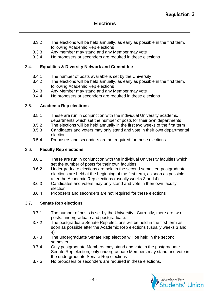- 3.3.2 The elections will be held annually, as early as possible in the first term, following Academic Rep elections
- 3.3.3 Any member may stand and any Member may vote
- 3.3.4 No proposers or seconders are required in these elections

## 3.4. **Equalities & Diversity Network and Committee**

- 3.4.1 The number of posts available is set by the University
- 3.4.2 The elections will be held annually, as early as possible in the first term, following Academic Rep elections
- 3.4.3 Any Member may stand and any Member may vote
- 3.4.4 No proposers or seconders are required in these elections

## 3.5. **Academic Rep elections**

- 3.5.1 These are run in conjunction with the individual University academic departments which set the number of posts for their own departments
- 3.5.2 The elections will be held annually in the first two weeks of the first term
- 3.5.3 Candidates and voters may only stand and vote in their own departmental election
- 3.5.4 Proposers and seconders are not required for these elections

## 3.6. **Faculty Rep elections**

- 3.6.1 These are run in conjunction with the individual University faculties which set the number of posts for their own faculties
- 3.6.2 Undergraduate elections are held in the second semester; postgraduate elections are held at the beginning of the first term, as soon as possible after the Academic Rep elections (usually weeks 3 and 4)
- 3.6.3 Candidates and voters may only stand and vote in their own faculty election
- 3.6.4 Proposers and seconders are not required for these elections

## 3.7. **Senate Rep elections**

- 3.7.1 The number of posts is set by the University. Currently, there are two posts: undergraduate and postgraduate.
- 3.7.2 The postgraduate Senate Rep elections will be held in the first term as soon as possible after the Academic Rep elections (usually weeks 3 and 4)
- 3.7.3 The undergraduate Senate Rep election will be held in the second semester.
- 3.7.4 Only postgraduate Members may stand and vote in the postgraduate Senate Rep election; only undergraduate Members may stand and vote in the undergraduate Senate Rep elections
- 3.7.5 No proposers or seconders are required in these elections.

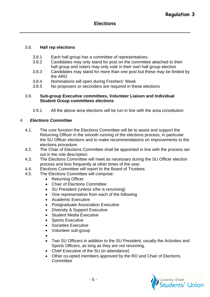#### 3.8. **Hall rep elections**

- 3.8.1 Each hall group has a committee of representatives.
- 3.8.2 Candidates may only stand for post on the committee attached to their hall group and voters may only vote in their own hall group election
- 3.8.3 Candidates may stand for more than one post but these may be limited by the ARO
- 3.8.4 Nominations will open during Freshers' Week
- 3.8.5 No proposers or seconders are required in these elections

#### 3.9. **Sub-group Executive committees, Volunteer Liaison and Individual Student Group committees elections**

3.9.1 All the above area elections will be run in line with the area constitution

## 4 *Elections Committee*

- 4.1. The core function the Elections Committee will be to assist and support the Returning Officer in the smooth running of the elections process, in particular the SU Officer elections and to make recommendations on improvements to the elections procedure.
- 4.2. The Chair of Elections Committee shall be appointed in line with the process set out in the role description.
- 4.3. The Elections Committee will meet as necessary during the SU Officer election process and less frequently at other times of the year.
- 4.4. Elections Committee will report to the Board of Trustees.
- 4.5. The Elections Committee will comprise:
	- Returning Officer
	- Chair of Elections Committee
	- SU President (unless s/he is rerunning)
	- One representative from each of the following
	- Academic Executive
	- Postgraduate Association Executive
	- Diversity & Support Executive
	- Student Media Executive
	- Sports Executive
	- Societies Executive
	- Volunteer sub-group
	- $\bullet$
	- Two SU Officers in addition to the SU President, usually the Activities and Sports Officers, as long as they are not rerunning.
	- Chief Executive of the SU (in attendance)
	- Other co-opted members approved by the RO and Chair of Elections Committee

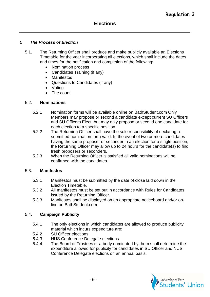## 5 *The Process of Election*

- 5.1. The Returning Officer shall produce and make publicly available an Elections Timetable for the year incorporating all elections, which shall include the dates and times for the notification and completion of the following:
	- Nomination process
	- Candidates Training (if any)
	- Manifestos
	- Questions to Candidates (if any)
	- Voting
	- The count

## 5.2. **Nominations**

- 5.2.1 Nomination forms will be available online on BathStudent.com Only Members may propose or second a candidate except current SU Officers and SU Officers Elect, but may only propose or second one candidate for each election to a specific position.
- 5.2.2 The Returning Officer shall have the sole responsibility of declaring a submitted nomination form valid. In the event of two or more candidates having the same proposer or seconder in an election for a single position, the Returning Officer may allow up to 24 hours for the candidate(s) to find fresh proposers or seconders.
- 5.2.3 When the Returning Officer is satisfied all valid nominations will be confirmed with the candidates.

## 5.3. **Manifestos**

- 5.3.1 Manifestos must be submitted by the date of close laid down in the Election Timetable.
- 5.3.2 All manifestos must be set out in accordance with Rules for Candidates issued by the Returning Officer.
- 5.3.3 Manifestos shall be displayed on an appropriate noticeboard and/or online on BathStudent.com

## 5.4. **Campaign Publicity**

- 5.4.1 The only elections in which candidates are allowed to produce publicity material which incurs expenditure are:
- 5.4.2 SU Officer elections
- 5.4.3 NUS Conference Delegate elections
- 5.4.4 The Board of Trustees or a body nominated by them shall determine the expenditure allowed for publicity for candidates in SU Officer and NUS Conference Delegate elections on an annual basis.

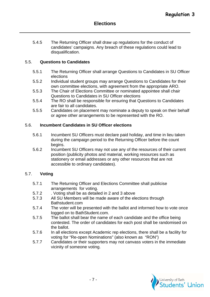5.4.5 The Returning Officer shall draw up regulations for the conduct of candidates' campaigns. Any breach of these regulations could lead to disqualification.

## 5.5. **Questions to Candidates**

- 5.5.1 The Returning Officer shall arrange Questions to Candidates in SU Officer elections
- 5.5.2 Individual student groups may arrange Questions to Candidates for their own committee elections, with agreement from the appropriate ARO.
- 5.5.3 The Chair of Elections Committee or nominated appointee shall chair Questions to Candidates in SU Officer elections
- 5.5.4 The RO shall be responsible for ensuring that Questions to Candidates are fair to all candidates.
- 5.5.5 Candidates on placement may nominate a deputy to speak on their behalf or agree other arrangements to be represented with the RO.

## 5.6. **Incumbent Candidates in SU Officer elections**

- 5.6.1 Incumbent SU Officers must declare paid holiday, and time in lieu taken during the campaign period to the Returning Officer before the count begins.
- 5.6.2 Incumbent SU Officers may not use any of the resources of their current position (publicity photos and material, working resources such as stationery or email addresses or any other resources that are not accessible to ordinary candidates).

## 5.7. **Voting**

- 5.7.1 The Returning Officer and Elections Committee shall publicise arrangements for voting.
- 5.7.2 . Voting shall be as detailed in 2 and 3 above
- 5.7.3 All SU Members will be made aware of the elections through Bathstudent.com
- 5.7.4 The voter will be presented with the ballot and informed how to vote once logged on to BathStudent.com.
- 5.7.5 The ballot shall bear the name of each candidate and the office being contested. The order of candidates for each post shall be randomised on the ballot.
- 5.7.6 In all elections except Academic rep elections, there shall be a facility for voting for "Re-open Nominations" (also known as "RON")
- 5.7.7 Candidates or their supporters may not canvass voters in the immediate vicinity of someone voting.